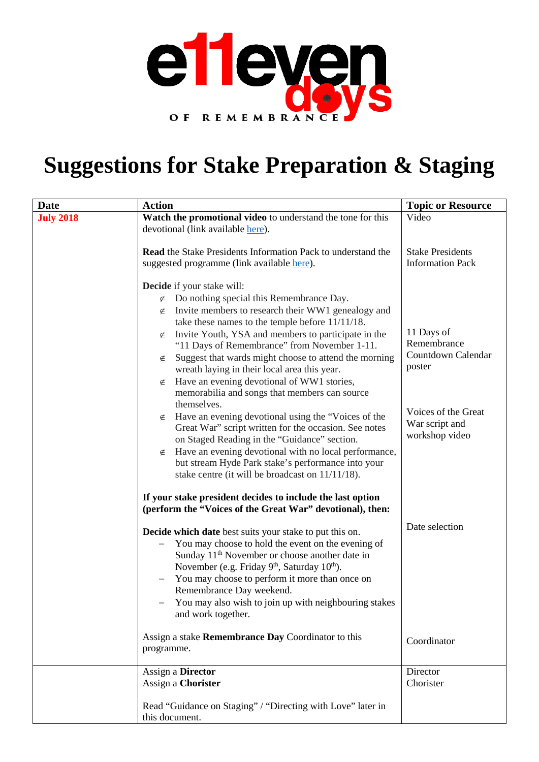

### **Suggestions for Stake Preparation & Staging**

| <b>Date</b>      | <b>Action</b>                                                                                                                      | <b>Topic or Resource</b>  |
|------------------|------------------------------------------------------------------------------------------------------------------------------------|---------------------------|
| <b>July 2018</b> | Watch the promotional video to understand the tone for this                                                                        | Video                     |
|                  | devotional (link available here).                                                                                                  |                           |
|                  | <b>Read</b> the Stake Presidents Information Pack to understand the                                                                | <b>Stake Presidents</b>   |
|                  | suggested programme (link available here).                                                                                         | <b>Information Pack</b>   |
|                  |                                                                                                                                    |                           |
|                  | <b>Decide</b> if your stake will:<br>Do nothing special this Remembrance Day.<br>∉                                                 |                           |
|                  | Invite members to research their WW1 genealogy and<br>∉                                                                            |                           |
|                  | take these names to the temple before 11/11/18.                                                                                    |                           |
|                  | Invite Youth, YSA and members to participate in the<br>∉                                                                           | 11 Days of<br>Remembrance |
|                  | "11 Days of Remembrance" from November 1-11.<br>Suggest that wards might choose to attend the morning<br>∉                         | Countdown Calendar        |
|                  | wreath laying in their local area this year.                                                                                       | poster                    |
|                  | Have an evening devotional of WW1 stories,<br>∉                                                                                    |                           |
|                  | memorabilia and songs that members can source                                                                                      |                           |
|                  | themselves.<br>Have an evening devotional using the "Voices of the<br>∉                                                            | Voices of the Great       |
|                  | Great War" script written for the occasion. See notes                                                                              | War script and            |
|                  | on Staged Reading in the "Guidance" section.                                                                                       | workshop video            |
|                  | Have an evening devotional with no local performance,<br>∉                                                                         |                           |
|                  | but stream Hyde Park stake's performance into your<br>stake centre (it will be broadcast on 11/11/18).                             |                           |
|                  |                                                                                                                                    |                           |
|                  | If your stake president decides to include the last option                                                                         |                           |
|                  | (perform the "Voices of the Great War" devotional), then:                                                                          |                           |
|                  | Decide which date best suits your stake to put this on.                                                                            | Date selection            |
|                  | You may choose to hold the event on the evening of                                                                                 |                           |
|                  | Sunday 11 <sup>th</sup> November or choose another date in<br>November (e.g. Friday 9 <sup>th</sup> , Saturday 10 <sup>th</sup> ). |                           |
|                  | You may choose to perform it more than once on                                                                                     |                           |
|                  | Remembrance Day weekend.                                                                                                           |                           |
|                  | You may also wish to join up with neighbouring stakes                                                                              |                           |
|                  | and work together.                                                                                                                 |                           |
|                  | Assign a stake Remembrance Day Coordinator to this                                                                                 | Coordinator               |
|                  | programme.                                                                                                                         |                           |
|                  | Assign a Director                                                                                                                  | Director                  |
|                  | Assign a Chorister                                                                                                                 | Chorister                 |
|                  | Read "Guidance on Staging" / "Directing with Love" later in                                                                        |                           |
|                  | this document.                                                                                                                     |                           |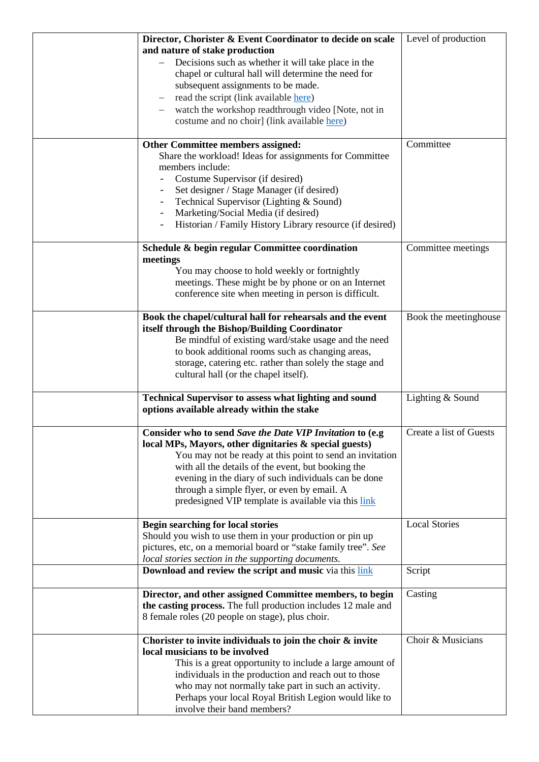| Director, Chorister & Event Coordinator to decide on scale     | Level of production     |
|----------------------------------------------------------------|-------------------------|
| and nature of stake production                                 |                         |
| Decisions such as whether it will take place in the            |                         |
| chapel or cultural hall will determine the need for            |                         |
| subsequent assignments to be made.                             |                         |
|                                                                |                         |
| read the script (link available here)                          |                         |
| watch the workshop readthrough video [Note, not in             |                         |
| costume and no choir] (link available here)                    |                         |
|                                                                |                         |
| Other Committee members assigned:                              | Committee               |
| Share the workload! Ideas for assignments for Committee        |                         |
| members include:                                               |                         |
| Costume Supervisor (if desired)                                |                         |
| Set designer / Stage Manager (if desired)                      |                         |
| Technical Supervisor (Lighting & Sound)                        |                         |
| Marketing/Social Media (if desired)                            |                         |
| Historian / Family History Library resource (if desired)       |                         |
|                                                                |                         |
| Schedule & begin regular Committee coordination                | Committee meetings      |
| meetings                                                       |                         |
| You may choose to hold weekly or fortnightly                   |                         |
| meetings. These might be by phone or on an Internet            |                         |
| conference site when meeting in person is difficult.           |                         |
|                                                                |                         |
| Book the chapel/cultural hall for rehearsals and the event     | Book the meetinghouse   |
| itself through the Bishop/Building Coordinator                 |                         |
| Be mindful of existing ward/stake usage and the need           |                         |
| to book additional rooms such as changing areas,               |                         |
| storage, catering etc. rather than solely the stage and        |                         |
| cultural hall (or the chapel itself).                          |                         |
|                                                                |                         |
| <b>Technical Supervisor to assess what lighting and sound</b>  | Lighting & Sound        |
| options available already within the stake                     |                         |
|                                                                |                         |
| Consider who to send Save the Date VIP Invitation to (e.g.     | Create a list of Guests |
| local MPs, Mayors, other dignitaries & special guests)         |                         |
| You may not be ready at this point to send an invitation       |                         |
| with all the details of the event, but booking the             |                         |
| evening in the diary of such individuals can be done           |                         |
| through a simple flyer, or even by email. A                    |                         |
| predesigned VIP template is available via this link            |                         |
|                                                                |                         |
| <b>Begin searching for local stories</b>                       | <b>Local Stories</b>    |
| Should you wish to use them in your production or pin up       |                         |
| pictures, etc, on a memorial board or "stake family tree". See |                         |
| local stories section in the supporting documents.             |                         |
| <b>Download and review the script and music</b> via this link  | Script                  |
|                                                                |                         |
| Director, and other assigned Committee members, to begin       | Casting                 |
| the casting process. The full production includes 12 male and  |                         |
| 8 female roles (20 people on stage), plus choir.               |                         |
|                                                                |                         |
| Chorister to invite individuals to join the choir & invite     | Choir & Musicians       |
| local musicians to be involved                                 |                         |
| This is a great opportunity to include a large amount of       |                         |
| individuals in the production and reach out to those           |                         |
| who may not normally take part in such an activity.            |                         |
| Perhaps your local Royal British Legion would like to          |                         |
| involve their band members?                                    |                         |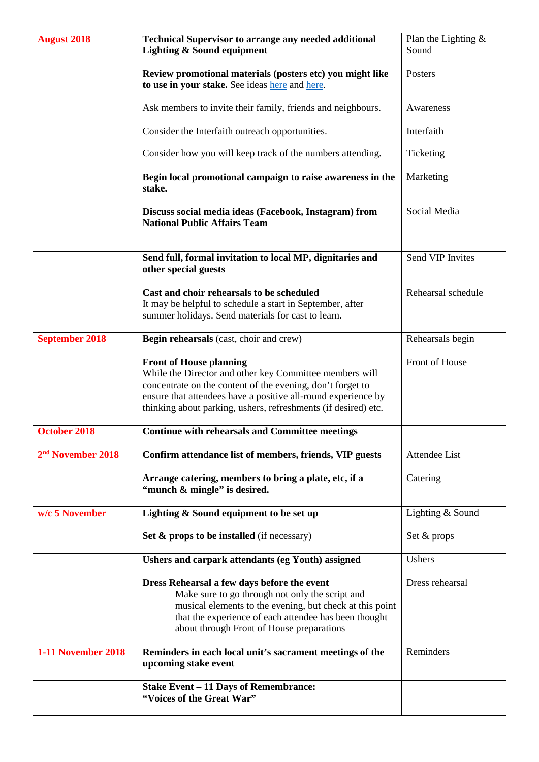| <b>August 2018</b>            | <b>Technical Supervisor to arrange any needed additional</b><br><b>Lighting &amp; Sound equipment</b>                                                                                                                                                                                      | Plan the Lighting $\&$<br>Sound |  |
|-------------------------------|--------------------------------------------------------------------------------------------------------------------------------------------------------------------------------------------------------------------------------------------------------------------------------------------|---------------------------------|--|
|                               | Review promotional materials (posters etc) you might like<br>to use in your stake. See ideas here and here.                                                                                                                                                                                | Posters                         |  |
|                               | Ask members to invite their family, friends and neighbours.                                                                                                                                                                                                                                | Awareness                       |  |
|                               | Consider the Interfaith outreach opportunities.                                                                                                                                                                                                                                            | Interfaith                      |  |
|                               | Consider how you will keep track of the numbers attending.                                                                                                                                                                                                                                 | Ticketing                       |  |
|                               | Begin local promotional campaign to raise awareness in the<br>stake.                                                                                                                                                                                                                       | Marketing                       |  |
|                               | Discuss social media ideas (Facebook, Instagram) from<br><b>National Public Affairs Team</b>                                                                                                                                                                                               | Social Media                    |  |
|                               | Send full, formal invitation to local MP, dignitaries and<br>other special guests                                                                                                                                                                                                          | Send VIP Invites                |  |
|                               | Cast and choir rehearsals to be scheduled<br>It may be helpful to schedule a start in September, after<br>summer holidays. Send materials for cast to learn.                                                                                                                               | Rehearsal schedule              |  |
| <b>September 2018</b>         | Begin rehearsals (cast, choir and crew)                                                                                                                                                                                                                                                    | Rehearsals begin                |  |
|                               | <b>Front of House planning</b><br>While the Director and other key Committee members will<br>concentrate on the content of the evening, don't forget to<br>ensure that attendees have a positive all-round experience by<br>thinking about parking, ushers, refreshments (if desired) etc. | Front of House                  |  |
| <b>October 2018</b>           | <b>Continue with rehearsals and Committee meetings</b>                                                                                                                                                                                                                                     |                                 |  |
| 2 <sup>nd</sup> November 2018 | Confirm attendance list of members, friends, VIP guests                                                                                                                                                                                                                                    | Attendee List                   |  |
|                               | Arrange catering, members to bring a plate, etc, if a<br>"munch & mingle" is desired.                                                                                                                                                                                                      | Catering                        |  |
| w/c 5 November                | Lighting & Sound equipment to be set up                                                                                                                                                                                                                                                    | Lighting & Sound                |  |
|                               | Set $\&$ props to be installed (if necessary)                                                                                                                                                                                                                                              | Set & props                     |  |
|                               | Ushers and carpark attendants (eg Youth) assigned                                                                                                                                                                                                                                          | Ushers                          |  |
|                               | Dress Rehearsal a few days before the event<br>Make sure to go through not only the script and<br>musical elements to the evening, but check at this point<br>that the experience of each attendee has been thought<br>about through Front of House preparations                           | Dress rehearsal                 |  |
| <b>1-11 November 2018</b>     | Reminders in each local unit's sacrament meetings of the<br>upcoming stake event                                                                                                                                                                                                           | Reminders                       |  |
|                               | <b>Stake Event - 11 Days of Remembrance:</b><br>"Voices of the Great War"                                                                                                                                                                                                                  |                                 |  |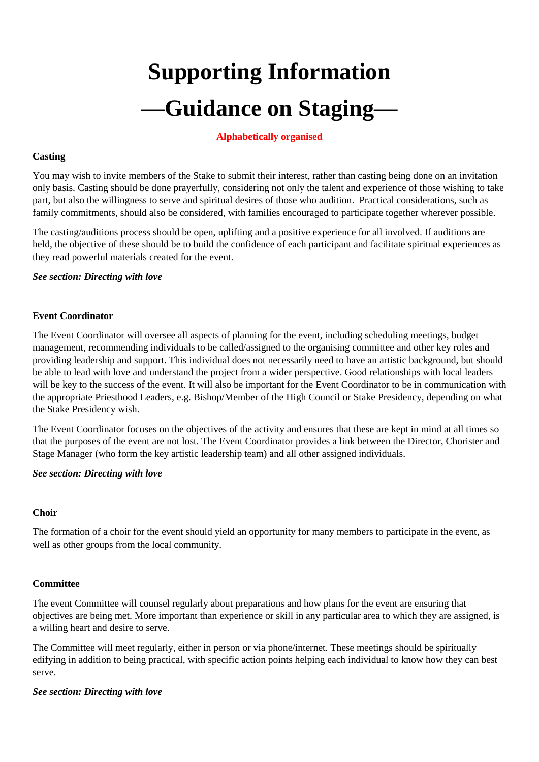# **Supporting Information —Guidance on Staging—**

#### **Alphabetically organised**

#### **Casting**

You may wish to invite members of the Stake to submit their interest, rather than casting being done on an invitation only basis. Casting should be done prayerfully, considering not only the talent and experience of those wishing to take part, but also the willingness to serve and spiritual desires of those who audition. Practical considerations, such as family commitments, should also be considered, with families encouraged to participate together wherever possible.

The casting/auditions process should be open, uplifting and a positive experience for all involved. If auditions are held, the objective of these should be to build the confidence of each participant and facilitate spiritual experiences as they read powerful materials created for the event.

#### *See section: Directing with love*

#### **Event Coordinator**

The Event Coordinator will oversee all aspects of planning for the event, including scheduling meetings, budget management, recommending individuals to be called/assigned to the organising committee and other key roles and providing leadership and support. This individual does not necessarily need to have an artistic background, but should be able to lead with love and understand the project from a wider perspective. Good relationships with local leaders will be key to the success of the event. It will also be important for the Event Coordinator to be in communication with the appropriate Priesthood Leaders, e.g. Bishop/Member of the High Council or Stake Presidency, depending on what the Stake Presidency wish.

The Event Coordinator focuses on the objectives of the activity and ensures that these are kept in mind at all times so that the purposes of the event are not lost. The Event Coordinator provides a link between the Director, Chorister and Stage Manager (who form the key artistic leadership team) and all other assigned individuals.

#### *See section: Directing with love*

#### **Choir**

The formation of a choir for the event should yield an opportunity for many members to participate in the event, as well as other groups from the local community.

#### **Committee**

The event Committee will counsel regularly about preparations and how plans for the event are ensuring that objectives are being met. More important than experience or skill in any particular area to which they are assigned, is a willing heart and desire to serve.

The Committee will meet regularly, either in person or via phone/internet. These meetings should be spiritually edifying in addition to being practical, with specific action points helping each individual to know how they can best serve.

#### *See section: Directing with love*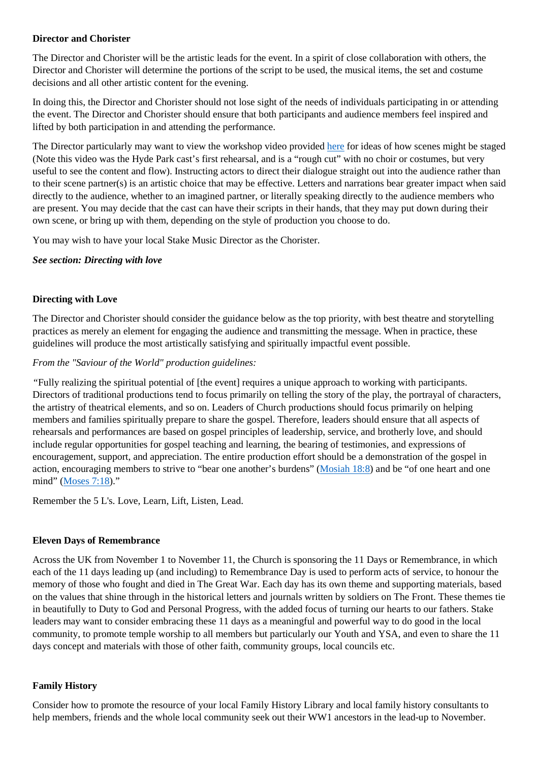#### **Director and Chorister**

The Director and Chorister will be the artistic leads for the event. In a spirit of close collaboration with others, the Director and Chorister will determine the portions of the script to be used, the musical items, the set and costume decisions and all other artistic content for the evening.

In doing this, the Director and Chorister should not lose sight of the needs of individuals participating in or attending the event. The Director and Chorister should ensure that both participants and audience members feel inspired and lifted by both participation in and attending the performance.

The Director particularly may want to view the workshop video provided [here](https://saleslabs.wistia.com/medias/t6duwejlka) for ideas of how scenes might be staged (Note this video was the Hyde Park cast's first rehearsal, and is a "rough cut" with no choir or costumes, but very useful to see the content and flow). Instructing actors to direct their dialogue straight out into the audience rather than to their scene partner(s) is an artistic choice that may be effective. Letters and narrations bear greater impact when said directly to the audience, whether to an imagined partner, or literally speaking directly to the audience members who are present. You may decide that the cast can have their scripts in their hands, that they may put down during their own scene, or bring up with them, depending on the style of production you choose to do.

You may wish to have your local Stake Music Director as the Chorister.

#### *See section: Directing with love*

#### **Directing with Love**

The Director and Chorister should consider the guidance below as the top priority, with best theatre and storytelling practices as merely an element for engaging the audience and transmitting the message. When in practice, these guidelines will produce the most artistically satisfying and spiritually impactful event possible.

#### *From the "Saviour of the World" production guidelines:*

*"*Fully realizing the spiritual potential of [the event] requires a unique approach to working with participants. Directors of traditional productions tend to focus primarily on telling the story of the play, the portrayal of characters, the artistry of theatrical elements, and so on. Leaders of Church productions should focus primarily on helping members and families spiritually prepare to share the gospel. Therefore, leaders should ensure that all aspects of rehearsals and performances are based on gospel principles of leadership, service, and brotherly love, and should include regular opportunities for gospel teaching and learning, the bearing of testimonies, and expressions of encouragement, support, and appreciation. The entire production effort should be a demonstration of the gospel in action, encouraging members to strive to "bear one another's burdens" [\(Mosiah 18:8\)](https://www.lds.org/scriptures/bofm/mosiah/18.8?lang=eng) and be "of one heart and one mind" [\(Moses 7:18\)](https://www.lds.org/scriptures/pgp/moses/7.18?lang=eng)."

Remember the 5 L's. Love, Learn, Lift, Listen, Lead.

#### **Eleven Days of Remembrance**

Across the UK from November 1 to November 11, the Church is sponsoring the 11 Days or Remembrance, in which each of the 11 days leading up (and including) to Remembrance Day is used to perform acts of service, to honour the memory of those who fought and died in The Great War. Each day has its own theme and supporting materials, based on the values that shine through in the historical letters and journals written by soldiers on The Front. These themes tie in beautifully to Duty to God and Personal Progress, with the added focus of turning our hearts to our fathers. Stake leaders may want to consider embracing these 11 days as a meaningful and powerful way to do good in the local community, to promote temple worship to all members but particularly our Youth and YSA, and even to share the 11 days concept and materials with those of other faith, community groups, local councils etc.

#### **Family History**

Consider how to promote the resource of your local Family History Library and local family history consultants to help members, friends and the whole local community seek out their WW1 ancestors in the lead-up to November.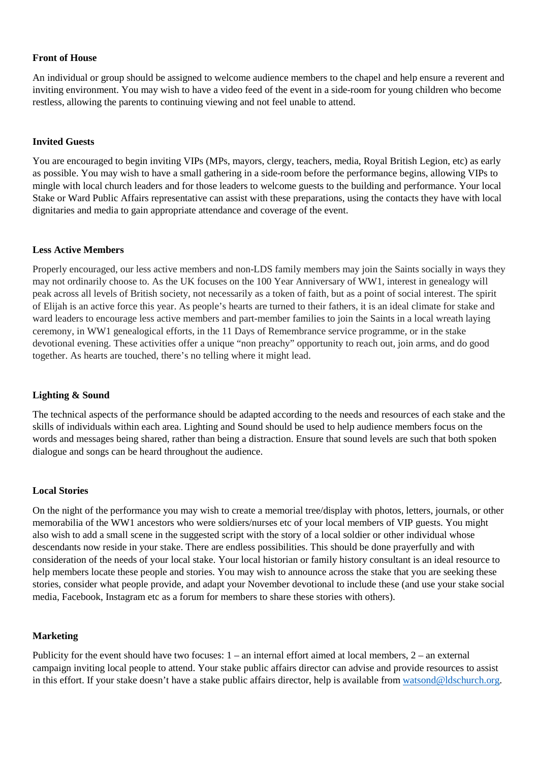#### **Front of House**

An individual or group should be assigned to welcome audience members to the chapel and help ensure a reverent and inviting environment. You may wish to have a video feed of the event in a side-room for young children who become restless, allowing the parents to continuing viewing and not feel unable to attend.

#### **Invited Guests**

You are encouraged to begin inviting VIPs (MPs, mayors, clergy, teachers, media, Royal British Legion, etc) as early as possible. You may wish to have a small gathering in a side-room before the performance begins, allowing VIPs to mingle with local church leaders and for those leaders to welcome guests to the building and performance. Your local Stake or Ward Public Affairs representative can assist with these preparations, using the contacts they have with local dignitaries and media to gain appropriate attendance and coverage of the event.

#### **Less Active Members**

Properly encouraged, our less active members and non-LDS family members may join the Saints socially in ways they may not ordinarily choose to. As the UK focuses on the 100 Year Anniversary of WW1, interest in genealogy will peak across all levels of British society, not necessarily as a token of faith, but as a point of social interest. The spirit of Elijah is an active force this year. As people's hearts are turned to their fathers, it is an ideal climate for stake and ward leaders to encourage less active members and part-member families to join the Saints in a local wreath laying ceremony, in WW1 genealogical efforts, in the 11 Days of Remembrance service programme, or in the stake devotional evening. These activities offer a unique "non preachy" opportunity to reach out, join arms, and do good together. As hearts are touched, there's no telling where it might lead.

#### **Lighting & Sound**

The technical aspects of the performance should be adapted according to the needs and resources of each stake and the skills of individuals within each area. Lighting and Sound should be used to help audience members focus on the words and messages being shared, rather than being a distraction. Ensure that sound levels are such that both spoken dialogue and songs can be heard throughout the audience.

#### **Local Stories**

On the night of the performance you may wish to create a memorial tree/display with photos, letters, journals, or other memorabilia of the WW1 ancestors who were soldiers/nurses etc of your local members of VIP guests. You might also wish to add a small scene in the suggested script with the story of a local soldier or other individual whose descendants now reside in your stake. There are endless possibilities. This should be done prayerfully and with consideration of the needs of your local stake. Your local historian or family history consultant is an ideal resource to help members locate these people and stories. You may wish to announce across the stake that you are seeking these stories, consider what people provide, and adapt your November devotional to include these (and use your stake social media, Facebook, Instagram etc as a forum for members to share these stories with others).

#### **Marketing**

Publicity for the event should have two focuses: 1 – an internal effort aimed at local members, 2 – an external campaign inviting local people to attend. Your stake public affairs director can advise and provide resources to assist in this effort. If your stake doesn't have a stake public affairs director, help is available from [watsond@ldschurch.org.](mailto:watsond@ldschurch.org)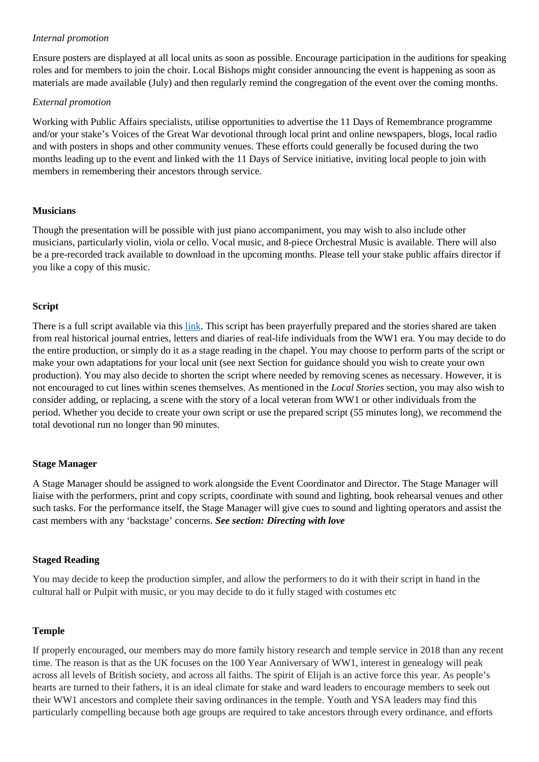#### *Internal promotion*

Ensure posters are displayed at all local units as soon as possible. Encourage participation in the auditions for speaking roles and for members to join the choir. Local Bishops might consider announcing the event is happening as soon as materials are made available (July) and then regularly remind the congregation of the event over the coming months.

#### *External promotion*

Working with Public Affairs specialists, utilise opportunities to advertise the 11 Days of Remembrance programme and/or your stake's Voices of the Great War devotional through local print and online newspapers, blogs, local radio and with posters in shops and other community venues. These efforts could generally be focused during the two months leading up to the event and linked with the 11 Days of Service initiative, inviting local people to join with members in remembering their ancestors through service.

#### **Musicians**

Though the presentation will be possible with just piano accompaniment, you may wish to also include other musicians, particularly violin, viola or cello. Vocal music, and 8-piece Orchestral Music is available. There will also be a pre-recorded track available to download in the upcoming months. Please tell your stake public affairs director if you like a copy of this music.

#### **Script**

There is a full script available via this [link.](https://www.mormonnewsroom.org.uk/multimedia/file/Script-Voices-of-the-Great-War.pdf) This script has been prayerfully prepared and the stories shared are taken from real historical journal entries, letters and diaries of real-life individuals from the WW1 era. You may decide to do the entire production, or simply do it as a stage reading in the chapel. You may choose to perform parts of the script or make your own adaptations for your local unit (see next Section for guidance should you wish to create your own production). You may also decide to shorten the script where needed by removing scenes as necessary. However, it is not encouraged to cut lines within scenes themselves. As mentioned in the *Local Stories* section, you may also wish to consider adding, or replacing, a scene with the story of a local veteran from WW1 or other individuals from the period. Whether you decide to create your own script or use the prepared script (55 minutes long), we recommend the total devotional run no longer than 90 minutes.

#### **Stage Manager**

A Stage Manager should be assigned to work alongside the Event Coordinator and Director. The Stage Manager will liaise with the performers, print and copy scripts, coordinate with sound and lighting, book rehearsal venues and other such tasks. For the performance itself, the Stage Manager will give cues to sound and lighting operators and assist the cast members with any 'backstage' concerns. *See section: Directing with love*

#### **Staged Reading**

You may decide to keep the production simpler, and allow the performers to do it with their script in hand in the cultural hall or Pulpit with music, or you may decide to do it fully staged with costumes etc

#### **Temple**

If properly encouraged, our members may do more family history research and temple service in 2018 than any recent time. The reason is that as the UK focuses on the 100 Year Anniversary of WW1, interest in genealogy will peak across all levels of British society, and across all faiths. The spirit of Elijah is an active force this year. As people's hearts are turned to their fathers, it is an ideal climate for stake and ward leaders to encourage members to seek out their WW1 ancestors and complete their saving ordinances in the temple. Youth and YSA leaders may find this particularly compelling because both age groups are required to take ancestors through every ordinance, and efforts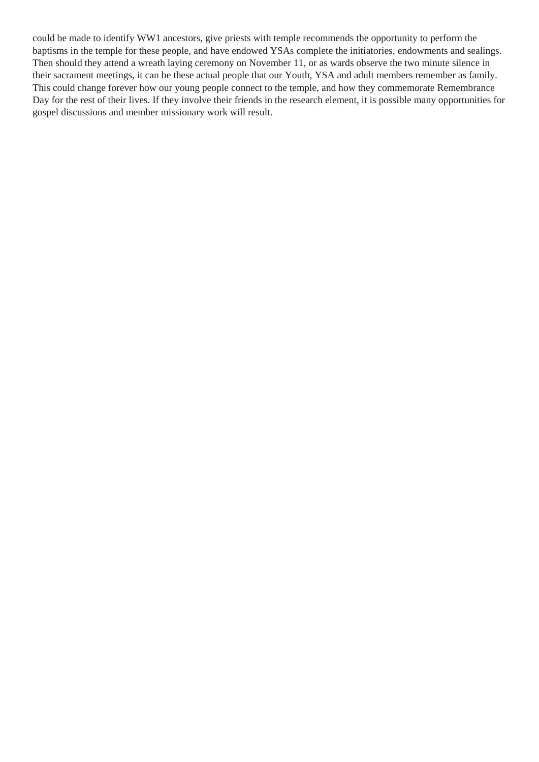could be made to identify WW1 ancestors, give priests with temple recommends the opportunity to perform the baptisms in the temple for these people, and have endowed YSAs complete the initiatories, endowments and sealings. Then should they attend a wreath laying ceremony on November 11, or as wards observe the two minute silence in their sacrament meetings, it can be these actual people that our Youth, YSA and adult members remember as family. This could change forever how our young people connect to the temple, and how they commemorate Remembrance Day for the rest of their lives. If they involve their friends in the research element, it is possible many opportunities for gospel discussions and member missionary work will result.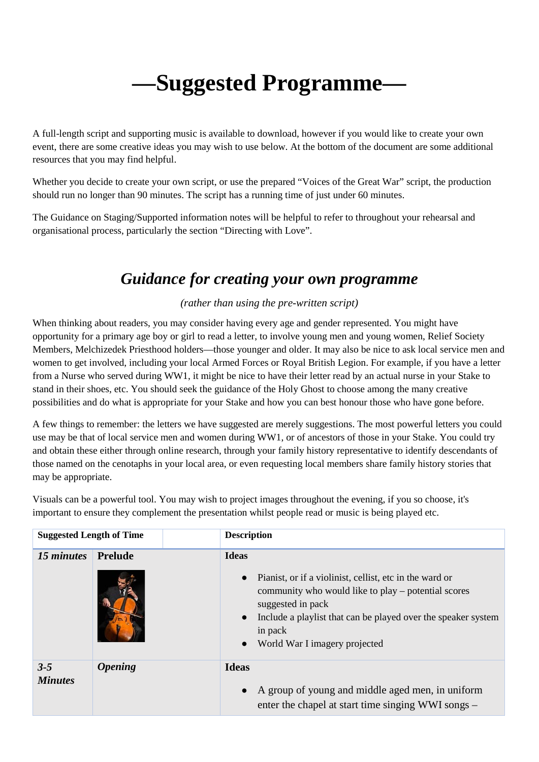## **—Suggested Programme—**

A full-length script and supporting music is available to download, however if you would like to create your own event, there are some creative ideas you may wish to use below. At the bottom of the document are some additional resources that you may find helpful.

Whether you decide to create your own script, or use the prepared "Voices of the Great War" script, the production should run no longer than 90 minutes. The script has a running time of just under 60 minutes.

The Guidance on Staging/Supported information notes will be helpful to refer to throughout your rehearsal and organisational process, particularly the section "Directing with Love".

### *Guidance for creating your own programme*

#### *(rather than using the pre-written script)*

When thinking about readers, you may consider having every age and gender represented. You might have opportunity for a primary age boy or girl to read a letter, to involve young men and young women, Relief Society Members, Melchizedek Priesthood holders—those younger and older. It may also be nice to ask local service men and women to get involved, including your local Armed Forces or Royal British Legion. For example, if you have a letter from a Nurse who served during WW1, it might be nice to have their letter read by an actual nurse in your Stake to stand in their shoes, etc. You should seek the guidance of the Holy Ghost to choose among the many creative possibilities and do what is appropriate for your Stake and how you can best honour those who have gone before.

A few things to remember: the letters we have suggested are merely suggestions. The most powerful letters you could use may be that of local service men and women during WW1, or of ancestors of those in your Stake. You could try and obtain these either through online research, through your family history representative to identify descendants of those named on the cenotaphs in your local area, or even requesting local members share family history stories that may be appropriate.

| <b>Suggested Length of Time</b> |                | <b>Description</b>                                                                                                                                                                                                                                                                                      |
|---------------------------------|----------------|---------------------------------------------------------------------------------------------------------------------------------------------------------------------------------------------------------------------------------------------------------------------------------------------------------|
| 15 minutes                      | <b>Prelude</b> | <b>Ideas</b><br>Pianist, or if a violinist, cellist, etc in the ward or<br>$\bullet$<br>community who would like to play – potential scores<br>suggested in pack<br>Include a playlist that can be played over the speaker system<br>$\bullet$<br>in pack<br>World War I imagery projected<br>$\bullet$ |
| $3 - 5$<br><b>Minutes</b>       | <b>Opening</b> | <b>Ideas</b><br>A group of young and middle aged men, in uniform<br>$\bullet$<br>enter the chapel at start time singing WWI songs –                                                                                                                                                                     |

Visuals can be a powerful tool. You may wish to project images throughout the evening, if you so choose, it's important to ensure they complement the presentation whilst people read or music is being played etc.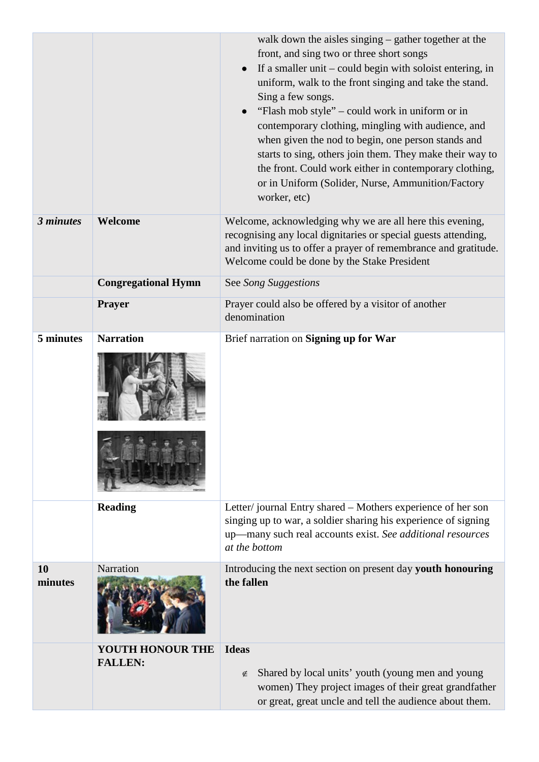|               |                                           | walk down the aisles singing – gather together at the<br>front, and sing two or three short songs<br>If a smaller unit $-$ could begin with soloist entering, in<br>$\bullet$<br>uniform, walk to the front singing and take the stand.<br>Sing a few songs.<br>"Flash mob style" – could work in uniform or in<br>contemporary clothing, mingling with audience, and<br>when given the nod to begin, one person stands and<br>starts to sing, others join them. They make their way to<br>the front. Could work either in contemporary clothing,<br>or in Uniform (Solider, Nurse, Ammunition/Factory<br>worker, etc) |
|---------------|-------------------------------------------|------------------------------------------------------------------------------------------------------------------------------------------------------------------------------------------------------------------------------------------------------------------------------------------------------------------------------------------------------------------------------------------------------------------------------------------------------------------------------------------------------------------------------------------------------------------------------------------------------------------------|
| 3 minutes     | Welcome                                   | Welcome, acknowledging why we are all here this evening,<br>recognising any local dignitaries or special guests attending,<br>and inviting us to offer a prayer of remembrance and gratitude.<br>Welcome could be done by the Stake President                                                                                                                                                                                                                                                                                                                                                                          |
|               | <b>Congregational Hymn</b>                | See Song Suggestions                                                                                                                                                                                                                                                                                                                                                                                                                                                                                                                                                                                                   |
|               | <b>Prayer</b>                             | Prayer could also be offered by a visitor of another<br>denomination                                                                                                                                                                                                                                                                                                                                                                                                                                                                                                                                                   |
| 5 minutes     | <b>Narration</b>                          | Brief narration on Signing up for War                                                                                                                                                                                                                                                                                                                                                                                                                                                                                                                                                                                  |
|               | <b>Reading</b>                            | Letter/journal Entry shared – Mothers experience of her son<br>singing up to war, a soldier sharing his experience of signing<br>up-many such real accounts exist. See additional resources<br>at the bottom                                                                                                                                                                                                                                                                                                                                                                                                           |
| 10<br>minutes | Narration                                 | Introducing the next section on present day youth honouring<br>the fallen                                                                                                                                                                                                                                                                                                                                                                                                                                                                                                                                              |
|               | <b>YOUTH HONOUR THE</b><br><b>FALLEN:</b> | <b>Ideas</b><br>Shared by local units' youth (young men and young<br>∉<br>women) They project images of their great grandfather<br>or great, great uncle and tell the audience about them.                                                                                                                                                                                                                                                                                                                                                                                                                             |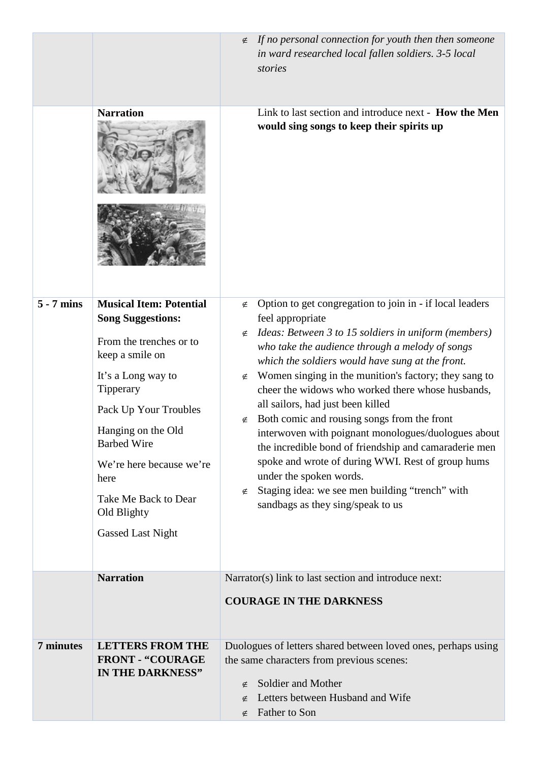|              |                                                                                                                                                                                                                                                                                                                         | If no personal connection for youth then then someone<br>$\notin$                                                                                                                                                                                                                                                                                                                                                                                                                                                                                                                                                                                                                                                                                              |
|--------------|-------------------------------------------------------------------------------------------------------------------------------------------------------------------------------------------------------------------------------------------------------------------------------------------------------------------------|----------------------------------------------------------------------------------------------------------------------------------------------------------------------------------------------------------------------------------------------------------------------------------------------------------------------------------------------------------------------------------------------------------------------------------------------------------------------------------------------------------------------------------------------------------------------------------------------------------------------------------------------------------------------------------------------------------------------------------------------------------------|
|              |                                                                                                                                                                                                                                                                                                                         | in ward researched local fallen soldiers. 3-5 local<br>stories                                                                                                                                                                                                                                                                                                                                                                                                                                                                                                                                                                                                                                                                                                 |
|              | <b>Narration</b>                                                                                                                                                                                                                                                                                                        | Link to last section and introduce next - How the Men<br>would sing songs to keep their spirits up                                                                                                                                                                                                                                                                                                                                                                                                                                                                                                                                                                                                                                                             |
| $5 - 7$ mins | <b>Musical Item: Potential</b><br><b>Song Suggestions:</b><br>From the trenches or to<br>keep a smile on<br>It's a Long way to<br>Tipperary<br>Pack Up Your Troubles<br>Hanging on the Old<br><b>Barbed Wire</b><br>We're here because we're<br>here<br>Take Me Back to Dear<br>Old Blighty<br><b>Gassed Last Night</b> | Option to get congregation to join in - if local leaders<br>∉<br>feel appropriate<br>Ideas: Between 3 to 15 soldiers in uniform (members)<br>∉<br>who take the audience through a melody of songs<br>which the soldiers would have sung at the front.<br>Women singing in the munition's factory; they sang to<br>∉<br>cheer the widows who worked there whose husbands,<br>all sailors, had just been killed<br>Both comic and rousing songs from the front<br>∉<br>interwoven with poignant monologues/duologues about<br>the incredible bond of friendship and camaraderie men<br>spoke and wrote of during WWI. Rest of group hums<br>under the spoken words.<br>Staging idea: we see men building "trench" with<br>∉<br>sandbags as they sing/speak to us |
|              | <b>Narration</b>                                                                                                                                                                                                                                                                                                        | Narrator(s) link to last section and introduce next:                                                                                                                                                                                                                                                                                                                                                                                                                                                                                                                                                                                                                                                                                                           |
|              |                                                                                                                                                                                                                                                                                                                         | <b>COURAGE IN THE DARKNESS</b>                                                                                                                                                                                                                                                                                                                                                                                                                                                                                                                                                                                                                                                                                                                                 |
| 7 minutes    | <b>LETTERS FROM THE</b><br><b>FRONT - "COURAGE</b><br>IN THE DARKNESS"                                                                                                                                                                                                                                                  | Duologues of letters shared between loved ones, perhaps using<br>the same characters from previous scenes:<br>Soldier and Mother<br>∉<br>Letters between Husband and Wife<br>Father to Son                                                                                                                                                                                                                                                                                                                                                                                                                                                                                                                                                                     |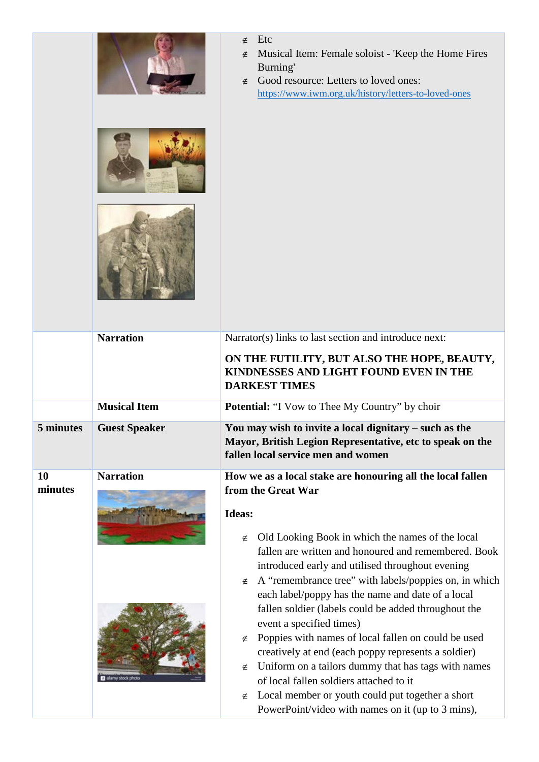|               |                      | Etc<br>$\notin$<br>Musical Item: Female soloist - 'Keep the Home Fires<br>∉<br>Burning'<br>Good resource: Letters to loved ones:<br>∉<br>https://www.iwm.org.uk/history/letters-to-loved-ones                                                                                                                                                                                                                                                                                                                                                                                                                                                                                               |
|---------------|----------------------|---------------------------------------------------------------------------------------------------------------------------------------------------------------------------------------------------------------------------------------------------------------------------------------------------------------------------------------------------------------------------------------------------------------------------------------------------------------------------------------------------------------------------------------------------------------------------------------------------------------------------------------------------------------------------------------------|
|               | <b>Narration</b>     | Narrator(s) links to last section and introduce next:                                                                                                                                                                                                                                                                                                                                                                                                                                                                                                                                                                                                                                       |
|               |                      | ON THE FUTILITY, BUT ALSO THE HOPE, BEAUTY,<br>KINDNESSES AND LIGHT FOUND EVEN IN THE<br><b>DARKEST TIMES</b>                                                                                                                                                                                                                                                                                                                                                                                                                                                                                                                                                                               |
|               | <b>Musical Item</b>  | <b>Potential:</b> "I Vow to Thee My Country" by choir                                                                                                                                                                                                                                                                                                                                                                                                                                                                                                                                                                                                                                       |
| 5 minutes     | <b>Guest Speaker</b> | You may wish to invite a local dignitary – such as the<br>Mayor, British Legion Representative, etc to speak on the<br>fallen local service men and women                                                                                                                                                                                                                                                                                                                                                                                                                                                                                                                                   |
| 10<br>minutes | <b>Narration</b>     | How we as a local stake are honouring all the local fallen                                                                                                                                                                                                                                                                                                                                                                                                                                                                                                                                                                                                                                  |
|               | alamy stock photo    | from the Great War<br>Ideas:<br>Old Looking Book in which the names of the local<br>∉<br>fallen are written and honoured and remembered. Book<br>introduced early and utilised throughout evening<br>A "remembrance tree" with labels/poppies on, in which<br>∉<br>each label/poppy has the name and date of a local<br>fallen soldier (labels could be added throughout the<br>event a specified times)<br>Poppies with names of local fallen on could be used<br>∉<br>creatively at end (each poppy represents a soldier)<br>Uniform on a tailors dummy that has tags with names<br>∉<br>of local fallen soldiers attached to it<br>Local member or youth could put together a short<br>∉ |
|               |                      | PowerPoint/video with names on it (up to 3 mins),                                                                                                                                                                                                                                                                                                                                                                                                                                                                                                                                                                                                                                           |